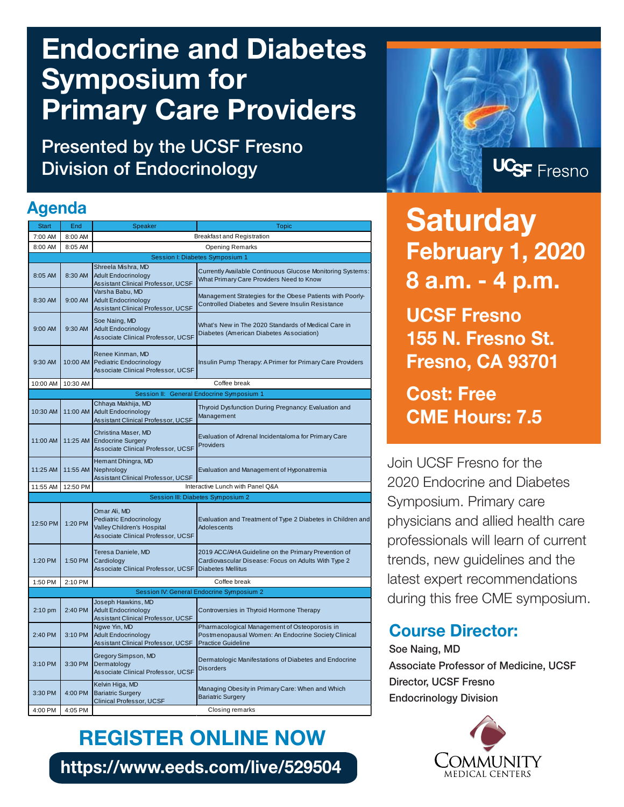# **Endocrine and Diabetes Symposium for Primary Care Providers**

**Presented by the UCSF Fresno Division of Endocrinology**

#### **Agenda**

| <b>Start</b>                              | End      | Speaker                                                                                                            | <b>Topic</b>                                                                                                                           |
|-------------------------------------------|----------|--------------------------------------------------------------------------------------------------------------------|----------------------------------------------------------------------------------------------------------------------------------------|
| 7:00 AM                                   | 8:00 AM  |                                                                                                                    | <b>Breakfast and Registration</b>                                                                                                      |
| 8:00 AM                                   | 8:05 AM  | <b>Opening Remarks</b>                                                                                             |                                                                                                                                        |
| Session I: Diabetes Symposium 1           |          |                                                                                                                    |                                                                                                                                        |
| Shreela Mishra, MD                        |          |                                                                                                                    |                                                                                                                                        |
| 8:05 AM                                   | 8:30 AM  | <b>Adult Endocrinology</b><br>Assistant Clinical Professor, UCSF                                                   | Currently Available Continuous Glucose Monitoring Systems:<br>What Primary Care Providers Need to Know                                 |
| 8:30 AM                                   | 9:00 AM  | Varsha Babu, MD<br><b>Adult Endocrinology</b><br>Assistant Clinical Professor, UCSF                                | Management Strategies for the Obese Patients with Poorly-<br><b>Controlled Diabetes and Severe Insulin Resistance</b>                  |
| 9:00 AM                                   | 9:30 AM  | Soe Naing, MD<br><b>Adult Endocrinology</b><br>Associate Clinical Professor, UCSF                                  | What's New in The 2020 Standards of Medical Care in<br>Diabetes (American Diabetes Association)                                        |
| 9:30 AM                                   | 10:00 AM | Renee Kinman, MD<br>Pediatric Endocrinology<br>Associate Clinical Professor, UCSF                                  | Insulin Pump Therapy: A Primer for Primary Care Providers                                                                              |
| 10:00 AM                                  | 10:30 AM |                                                                                                                    | Coffee break                                                                                                                           |
| Session II: General Endocrine Symposium 1 |          |                                                                                                                    |                                                                                                                                        |
| 10:30 AM                                  | 11:00 AM | Chhaya Makhija, MD<br><b>Adult Endocrinology</b><br>Assistant Clinical Professor, UCSF                             | Thyroid Dysfunction During Pregnancy: Evaluation and<br>Management                                                                     |
| 11:00 AM                                  | 11:25 AM | Christina Maser, MD<br><b>Endocrine Surgery</b><br>Associate Clinical Professor, UCSF                              | Evaluation of Adrenal Incidentaloma for Primary Care<br>Providers                                                                      |
| 11:25 AM                                  | 11:55 AM | Hemant Dhingra, MD<br>Nephrology<br>Assistant Clinical Professor, UCSF                                             | Evaluation and Management of Hyponatremia                                                                                              |
| 11:55 AM                                  | 12:50 PM |                                                                                                                    | Interactive Lunch with Panel Q&A                                                                                                       |
| <b>Session III: Diabetes Symposium 2</b>  |          |                                                                                                                    |                                                                                                                                        |
| 12:50 PM                                  | 1:20 PM  | Omar Ali, MD<br><b>Pediatric Endocrinology</b><br>Valley Children's Hospital<br>Associate Clinical Professor, UCSF | Evaluation and Treatment of Type 2 Diabetes in Children and<br><b>Adolescents</b>                                                      |
| 1:20 PM                                   | 1:50 PM  | Teresa Daniele, MD<br>Cardiology<br>Associate Clinical Professor, UCSF                                             | 2019 ACC/AHA Guideline on the Primary Prevention of<br>Cardiovascular Disease: Focus on Adults With Type 2<br><b>Diabetes Mellitus</b> |
| 1:50 PM                                   | 2:10 PM  |                                                                                                                    | Coffee break                                                                                                                           |
| Session IV: General Endocrine Symposium 2 |          |                                                                                                                    |                                                                                                                                        |
| $2:10$ pm                                 | 2:40 PM  | Joseph Hawkins, MD<br><b>Adult Endocrinology</b><br>Assistant Clinical Professor, UCSF                             | Controversies in Thyroid Hormone Therapy                                                                                               |
| 2:40 PM                                   | 3:10 PM  | Ngwe Yin, MD<br><b>Adult Endocrinology</b><br>Assistant Clinical Professor, UCSF                                   | Pharmacological Management of Osteoporosis in<br>Postmenopausal Women: An Endocrine Society Clinical<br><b>Practice Guideline</b>      |
| 3:10 PM                                   | 3:30 PM  | Gregory Simpson, MD<br>Dermatology<br>Associate Clinical Professor, UCSF                                           | Dermatologic Manifestations of Diabetes and Endocrine<br><b>Disorders</b>                                                              |
| 3:30 PM                                   | 4:00 PM  | Kelvin Higa, MD<br><b>Bariatric Surgery</b><br>Clinical Professor, UCSF                                            | Managing Obesity in Primary Care: When and Which<br><b>Bariatric Surgery</b>                                                           |
| 4:00 PM                                   | 4:05 PM  | Closing remarks                                                                                                    |                                                                                                                                        |

**REGISTER ONLINE NOW https://www.eeds.com/live/529504**



**Saturday February 1, 2020 8 a.m. - 4 p.m. UCSF Fresno 155 N. Fresno St. Fresno, CA 93701 Cost: Free**

Join UCSF Fresno for the 2020 Endocrine and Diabetes Symposium. Primary care physicians and allied health care professionals will learn of current trends, new guidelines and the latest expert recommendations during this free CME symposium.

**CME Hours: 7.5**

#### **Course Director:**

**Soe Naing, MD Associate Professor of Medicine, UCSF Director, UCSF Fresno Endocrinology Division**